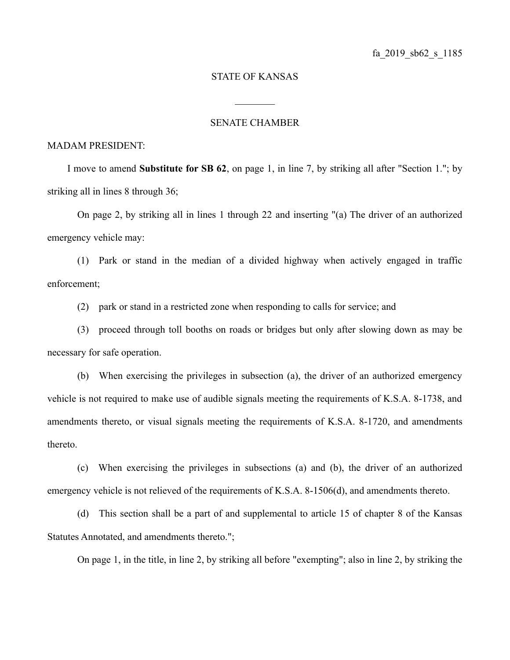## STATE OF KANSAS

## SENATE CHAMBER

 $\frac{1}{2}$ 

## MADAM PRESIDENT:

I move to amend **Substitute for SB 62**, on page 1, in line 7, by striking all after "Section 1."; by striking all in lines 8 through 36;

On page 2, by striking all in lines 1 through 22 and inserting "(a) The driver of an authorized emergency vehicle may:

(1) Park or stand in the median of a divided highway when actively engaged in traffic enforcement;

(2) park or stand in a restricted zone when responding to calls for service; and

(3) proceed through toll booths on roads or bridges but only after slowing down as may be necessary for safe operation.

(b) When exercising the privileges in subsection (a), the driver of an authorized emergency vehicle is not required to make use of audible signals meeting the requirements of K.S.A. 8-1738, and amendments thereto, or visual signals meeting the requirements of K.S.A. 8-1720, and amendments thereto.

(c) When exercising the privileges in subsections (a) and (b), the driver of an authorized emergency vehicle is not relieved of the requirements of K.S.A. 8-1506(d), and amendments thereto.

(d) This section shall be a part of and supplemental to article 15 of chapter 8 of the Kansas Statutes Annotated, and amendments thereto.";

On page 1, in the title, in line 2, by striking all before "exempting"; also in line 2, by striking the